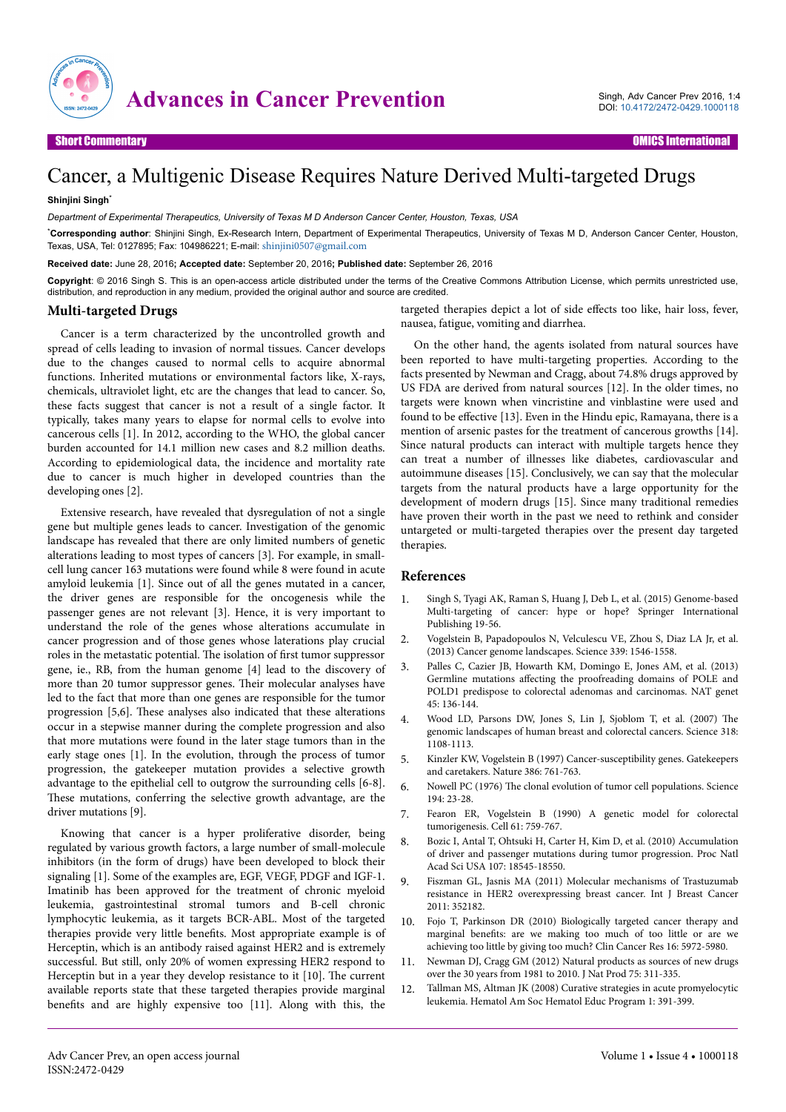

## Cancer, a Multigenic Disease Requires Nature Derived Multi-targeted Drugs

## **Shinjini Singh**\*

*Department of Experimental Therapeutics, University of Texas M D Anderson Cancer Center, Houston, Texas, USA*

\***Corresponding author**: Shinjini Singh, Ex-Research Intern, Department of Experimental Therapeutics, University of Texas M D, Anderson Cancer Center, Houston, Texas, USA, Tel: 0127895; Fax: 104986221; E-mail: [shinjini0507@gmail.com](mailto:shinjini0507@gmail.com)

**Received date:** June 28, 2016**; Accepted date:** September 20, 2016**; Published date:** September 26, 2016

**Copyright**: © 2016 Singh S. This is an open-access article distributed under the terms of the Creative Commons Attribution License, which permits unrestricted use, distribution, and reproduction in any medium, provided the original author and source are credited.

## **Multi-targeted Drugs**

Cancer is a term characterized by the uncontrolled growth and spread of cells leading to invasion of normal tissues. Cancer develops due to the changes caused to normal cells to acquire abnormal functions. Inherited mutations or environmental factors like, X-rays, chemicals, ultraviolet light, etc are the changes that lead to cancer. So, these facts suggest that cancer is not a result of a single factor. It typically, takes many years to elapse for normal cells to evolve into cancerous cells [1]. In 2012, according to the WHO, the global cancer burden accounted for 14.1 million new cases and 8.2 million deaths. According to epidemiological data, the incidence and mortality rate due to cancer is much higher in developed countries than the developing ones [2].

Extensive research, have revealed that dysregulation of not a single gene but multiple genes leads to cancer. Investigation of the genomic landscape has revealed that there are only limited numbers of genetic alterations leading to most types of cancers [3]. For example, in smallcell lung cancer 163 mutations were found while 8 were found in acute amyloid leukemia [1]. Since out of all the genes mutated in a cancer, the driver genes are responsible for the oncogenesis while the passenger genes are not relevant [3]. Hence, it is very important to understand the role of the genes whose alterations accumulate in cancer progression and of those genes whose laterations play crucial roles in the metastatic potential. The isolation of first tumor suppressor gene, ie., RB, from the human genome [4] lead to the discovery of more than 20 tumor suppressor genes. Their molecular analyses have led to the fact that more than one genes are responsible for the tumor progression [5,6]. These analyses also indicated that these alterations occur in a stepwise manner during the complete progression and also that more mutations were found in the later stage tumors than in the early stage ones [1]. In the evolution, through the process of tumor progression, the gatekeeper mutation provides a selective growth advantage to the epithelial cell to outgrow the surrounding cells [6-8]. These mutations, conferring the selective growth advantage, are the driver mutations [9].

Knowing that cancer is a hyper proliferative disorder, being regulated by various growth factors, a large number of small-molecule inhibitors (in the form of drugs) have been developed to block their signaling [1]. Some of the examples are, EGF, VEGF, PDGF and IGF-1. Imatinib has been approved for the treatment of chronic myeloid leukemia, gastrointestinal stromal tumors and B-cell chronic lymphocytic leukemia, as it targets BCR-ABL. Most of the targeted therapies provide very little benefits. Most appropriate example is of Herceptin, which is an antibody raised against HER2 and is extremely successful. But still, only 20% of women expressing HER2 respond to Herceptin but in a year they develop resistance to it [10]. The current available reports state that these targeted therapies provide marginal benefits and are highly expensive too [11]. Along with this, the

targeted therapies depict a lot of side effects too like, hair loss, fever, nausea, fatigue, vomiting and diarrhea.

On the other hand, the agents isolated from natural sources have been reported to have multi-targeting properties. According to the facts presented by Newman and Cragg, about 74.8% drugs approved by US FDA are derived from natural sources [12]. In the older times, no targets were known when vincristine and vinblastine were used and found to be effective [13]. Even in the Hindu epic, Ramayana, there is a mention of arsenic pastes for the treatment of cancerous growths [14]. Since natural products can interact with multiple targets hence they can treat a number of illnesses like diabetes, cardiovascular and autoimmune diseases [15]. Conclusively, we can say that the molecular targets from the natural products have a large opportunity for the development of modern drugs [15]. Since many traditional remedies have proven their worth in the past we need to rethink and consider untargeted or multi-targeted therapies over the present day targeted therapies.

## **References**

- 1. [Singh S, Tyagi AK, Raman S, Huang J, Deb L, et al. \(2015\) Genome-based](http://dx.doi.org/10.1007/978-3-319-12253-3_2) [Multi-targeting of cancer: hype or hope? Springer International](http://dx.doi.org/10.1007/978-3-319-12253-3_2) [Publishing 19-56.](http://dx.doi.org/10.1007/978-3-319-12253-3_2)
- 2. [Vogelstein B, Papadopoulos N, Velculescu VE, Zhou S, Diaz LA Jr, et al.](http://dx.doi.org/10.1126/science.1235122) [\(2013\) Cancer genome landscapes. Science 339: 1546-1558.](http://dx.doi.org/10.1126/science.1235122)
- 3. [Palles C, Cazier JB, Howarth KM, Domingo E, Jones AM, et al. \(2013\)](http://dx.doi.org/10.1038/ng.2503) Germline mutations affecting [the proofreading domains of POLE and](http://dx.doi.org/10.1038/ng.2503) [POLD1 predispose to colorectal adenomas and carcinomas. NAT genet](http://dx.doi.org/10.1038/ng.2503) [45: 136-144.](http://dx.doi.org/10.1038/ng.2503)
- 4. [Wood LD, Parsons DW, Jones S, Lin J, Sjoblom T, et al. \(2007\)](http://dx.doi.org/10.1126/science.1145720) The [genomic landscapes of human breast and colorectal cancers. Science 318:](http://dx.doi.org/10.1126/science.1145720) [1108-1113.](http://dx.doi.org/10.1126/science.1145720)
- 5. [Kinzler KW, Vogelstein B \(1997\) Cancer-susceptibility genes. Gatekeepers](http://dx.doi.org/10.1038/386761a0) [and caretakers. Nature 386: 761-763.](http://dx.doi.org/10.1038/386761a0)
- 6. Nowell PC (1976) The [clonal evolution of tumor cell populations. Science](http://dx.doi.org/10.1126/science.959840) [194: 23-28.](http://dx.doi.org/10.1126/science.959840)
- 7. [Fearon ER, Vogelstein B \(1990\) A genetic model for colorectal](http://dx.doi.org/10.1016/0092-8674(90)90186-I) [tumorigenesis. Cell 61: 759-767.](http://dx.doi.org/10.1016/0092-8674(90)90186-I)
- 8. [Bozic I, Antal T, Ohtsuki H, Carter H, Kim D, et al. \(2010\) Accumulation](http://www.pnas.org/lookup/suppl/doi:10.1073/pnas.1010978107/-/DCSupplemental) [of driver and passenger mutations during tumor progression. Proc Natl](http://www.pnas.org/lookup/suppl/doi:10.1073/pnas.1010978107/-/DCSupplemental) [Acad Sci USA 107: 18545-18550.](http://www.pnas.org/lookup/suppl/doi:10.1073/pnas.1010978107/-/DCSupplemental)
- 9. [Fiszman GL, Jasnis MA \(2011\) Molecular mechanisms of Trastuzumab](http://dx.doi.org/10.4061/2011/352182) [resistance in HER2 overexpressing breast cancer. Int J Breast Cancer](http://dx.doi.org/10.4061/2011/352182) [2011: 352182.](http://dx.doi.org/10.4061/2011/352182)
- 10. [Fojo T, Parkinson DR \(2010\) Biologically targeted cancer therapy and](http://dx.doi.org/10.1158/1078-0432.CCR-10-1277) marginal benefits: [are we making too much of too little or are we](http://dx.doi.org/10.1158/1078-0432.CCR-10-1277) [achieving too little by giving too much? Clin Cancer Res 16: 5972-5980.](http://dx.doi.org/10.1158/1078-0432.CCR-10-1277)
- 11. [Newman DJ, Cragg GM \(2012\) Natural products as sources of new drugs](http://dx.doi.org/10.1021/np200906s) [over the 30 years from 1981 to 2010. J Nat Prod 75: 311-335.](http://dx.doi.org/10.1021/np200906s)
- 12. [Tallman MS, Altman JK \(2008\) Curative strategies in acute promyelocytic](http://dx.doi.org/10.1182/asheducation-2008.1.391) [leukemia. Hematol Am Soc Hematol Educ Program 1: 391-399.](http://dx.doi.org/10.1182/asheducation-2008.1.391)